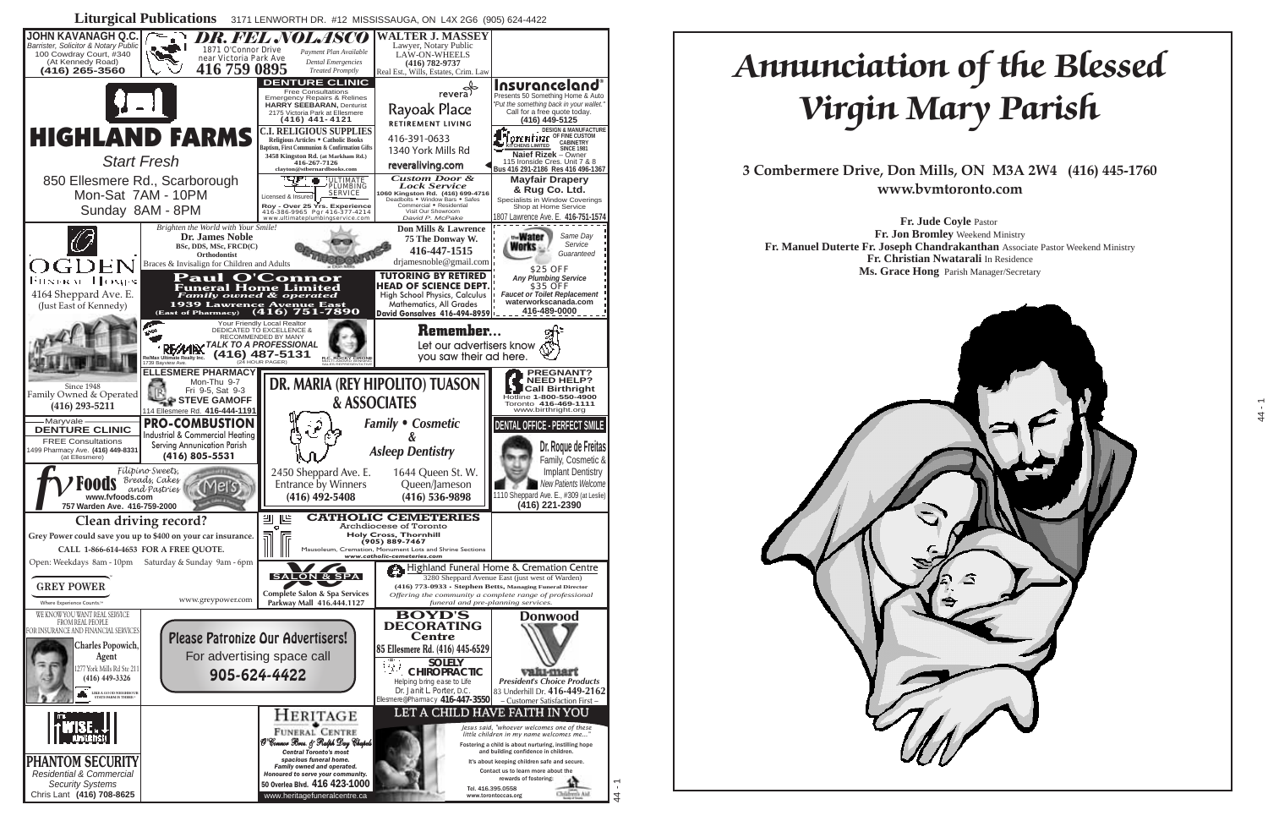#### **ANNUNCIATION OF THE BLESSED WIRGIN MARY Part PARISH**  $\mathbf{L}$   $\mathbf{L}$   $\mathbf{L}$   $\mathbf{L}$   $\mathbf{L}$ I UR DRSSEIL Annunciation of the Blessed  $V = W I W U$ Virgin Mary Parish

**Combermere Drive, Don Mills, ON M3A 2V** Toronto, Ontario M3A 2W4  $\mathbf{v} \cdot \mathbf{v} \cdot \mathbf{v}$ 3 Combermere Drive, Don Mills, ON M3A 2W4 (416) 445-1760 12:15 p.m. — Benediction of the Blessed Sacrament **www.bvmtoronto.com**

**Fr. Jon Bromley**  $\mathcal{L}$  Duttitude  $\mathcal{L}$ **Fr. Christian Nwatarali** In Residence **Ms. Grace Hong** Parish Manager/Secretary **Fr. Julie Coyle Fastor**<br>**Fr. Jon Bromley** Weekend Ministry  $\mathcal{L}$  - 9:30  $\mathcal{L}$  - 9:30 p.m. **Fr. Manuel Duterte Fr. Joseph Chandrakanthan** Associate Pastor Weekend Ministry **Fr. Jude Coyle** Pastor

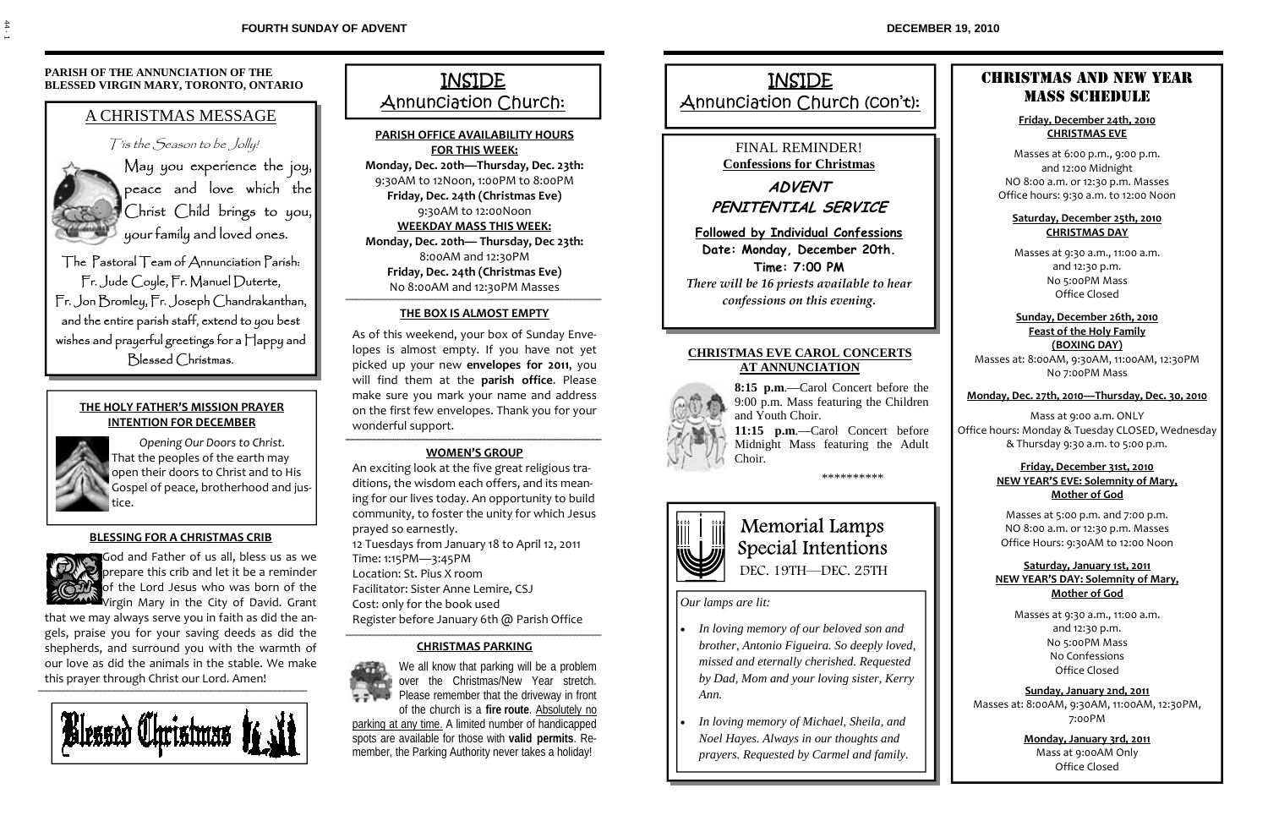### **PARISH OF THE ANNUNCIATION OF THE BLESSED VIRGIN MARY, TORONTO, ONTARIO**

# A CHRISTMAS MESSAGE

T'is the Season to be Jolly!



May you experience the joy, peace and love which the Christ Child brings to you, your family and loved ones.

The Pastoral Team of Annunciation Parish: Fr. Jude Coyle, Fr. Manuel Duterte, Fr. Jon Bromley, Fr. Joseph Chandrakanthan, and the entire parish staff, extend to you best wishes and prayerful greetings for a Happy and Blessed Christmas.

### **THE HOLY FATHER'S MISSION PRAYER INTENTION FOR DECEMBER**



*Opening Our Doors to Christ.*  That the peoples of the earth may open their doors to Christ and to His Gospel of peace, brotherhood and jus‐ tice.

### **BLESSING FOR A CHRISTMAS CRIB**



God and Father of us all, bless us as we prepare this crib and let it be a reminder of the Lord Jesus who was born of the **W**Virgin Mary in the City of David. Grant

that we may always serve you in faith as did the an‐ gels, praise you for your saving deeds as did the shepherds, and surround you with the warmth of our love as did the animals in the stable. We make this prayer through Christ our Lord. Amen!



INSIDE **Annunciation Church:** 

**PARISH OFFICE AVAILABILITY HOURS FOR THIS WEEK:**

**Monday, Dec. 20th—Thursday, Dec. 23th:**  9:30AM to 12Noon, 1:00PM to 8:00PM **Friday, Dec. 24th (Christmas Eve)**  9:30AM to 12:00Noon **WEEKDAY MASS THIS WEEK:**

**Monday, Dec. 20th— Thursday, Dec 23th:**  8:00AM and 12:30PM **Friday, Dec. 24th (Christmas Eve)**  No 8:00AM and 12:30PM Masses

### **THE BOX IS ALMOST EMPTY**

As of this weekend, your box of Sunday Enve‐ lopes is almost empty. If you have not yet picked up your new **envelopes for 2011**, you will find them at the **parish office**. Please make sure you mark your name and address on the first few envelopes. Thank you for your wonderful support.

### **WOMEN'S GROUP**

An exciting look at the five great religious tra‐ ditions, the wisdom each offers, and its mean‐ ing for our lives today. An opportunity to build community, to foster the unity for which Jesus prayed so earnestly. 12 Tuesdays from January 18 to April 12, 2011 Time: 1:15PM—3:45PM Location: St. Pius X room Facilitator: Sister Anne Lemire, CSJ Cost: only for the book used

Register before January 6th @ Parish Office

### **CHRISTMAS PARKING**



We all know that parking will be a problem over the Christmas/New Year stretch. Please remember that the driveway in front of the church is a **fire route**. Absolutely no

parking at any time. A limited number of handicapped spots are available for those with **valid permits**. Remember, the Parking Authority never takes a holiday!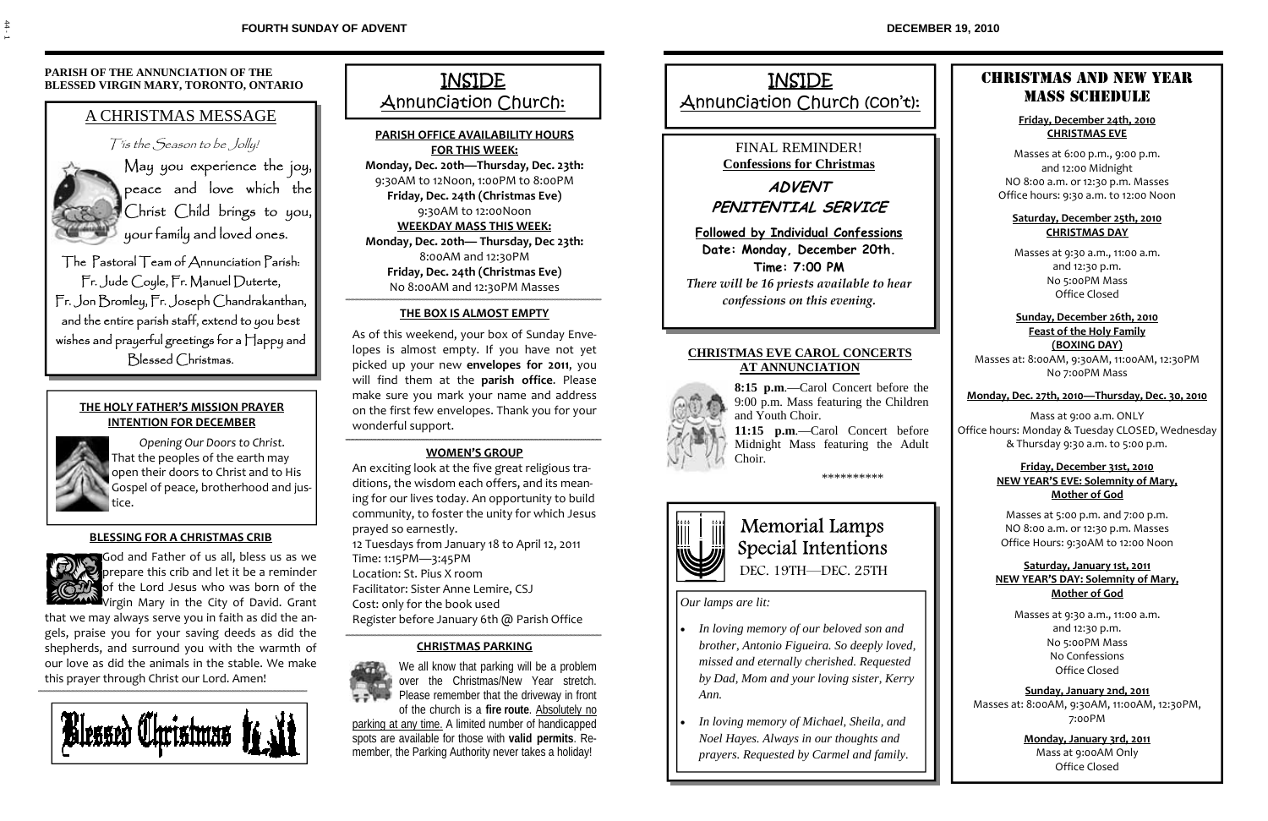# INSIDE

Annunciation Church (con't):

### FINAL REMINDER! **Confessions for Christmas**

**ADVENT PENITENTIAL SERVICE** 

**Followed by Individual Confessions Date: Monday, December 20th. Time: 7:00 PM**  *There will be 16 priests available to hear confessions on this evening.*

#### **CHRISTMAS EVE CAROL CONCERTS AT ANNUNCIATION**



**8:15 p.m**.—Carol Concert before the 9:00 p.m. Mass featuring the Children and Youth Choir.

**11:15 p.m**.—Carol Concert before Midnight Mass featuring the Adult Choir.

\*\*\*\*\*\*\*\*\*\*



# Memorial Lamps Special Intentions DEC. 19TH—DEC. 25TH

*Our lamps are lit:*

- *In loving memory of our beloved son and brother, Antonio Figueira. So deeply loved, missed and eternally cherished. Requested by Dad, Mom and your loving sister, Kerry Ann.*
- *In loving memory of Michael, Sheila, and Noel Hayes. Always in our thoughts and prayers. Requested by Carmel and family.*

## CHRISTMAS AND NEW YEAR MASS SCHEDULE

#### **Friday, December 24th, 2010 CHRISTMAS EVE**

Masses at 6:00 p.m., 9:00 p.m. and 12:00 Midnight NO 8:00 a.m. or 12:30 p.m. Masses Office hours: 9:30 a.m. to 12:00 Noon

#### **Saturday, December 25th, 2010 CHRISTMAS DAY**

Masses at 9:30 a.m., 11:00 a.m. and 12:30 p.m. No 5:00PM Mass Office Closed

**Sunday, December 26th, 2010 Feast of the Holy Family (BOXING DAY)**

Masses at: 8:00AM, 9:30AM, 11:00AM, 12:30PM No 7:00PM Mass

#### **Monday, Dec. 27th, 2010—Thursday, Dec. 30, 2010**

Mass at 9:00 a.m. ONLY Office hours: Monday & Tuesday CLOSED, Wednesday & Thursday 9:30 a.m. to 5:00 p.m.

#### **Friday, December 31st, 2010 NEW YEAR'S EVE: Solemnity of Mary, Mother of God**

Masses at 5:00 p.m. and 7:00 p.m. NO 8:00 a.m. or 12:30 p.m. Masses Office Hours: 9:30AM to 12:00 Noon

#### **Saturday, January 1st, 2011 NEW YEAR'S DAY: Solemnity of Mary, Mother of God**

Masses at 9:30 a.m., 11:00 a.m. and 12:30 p.m. No 5:00PM Mass No Confessions Office Closed

**Sunday, January 2nd, 2011** Masses at: 8:00AM, 9:30AM, 11:00AM, 12:30PM, 7:00PM

> **Monday, January 3rd, 2011** Mass at 9:00AM Only Office Closed